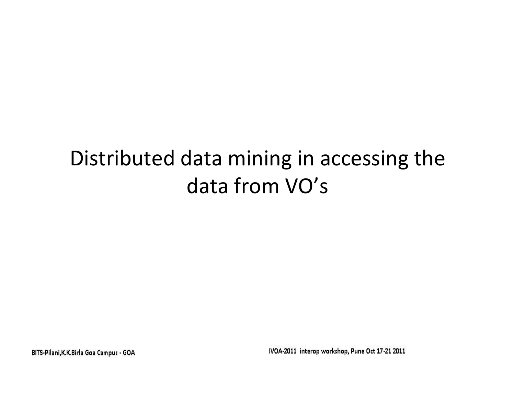# Distributed data mining in accessing the data from VO's

BITS-Pilani, K.K. Birla Goa Campus - GOA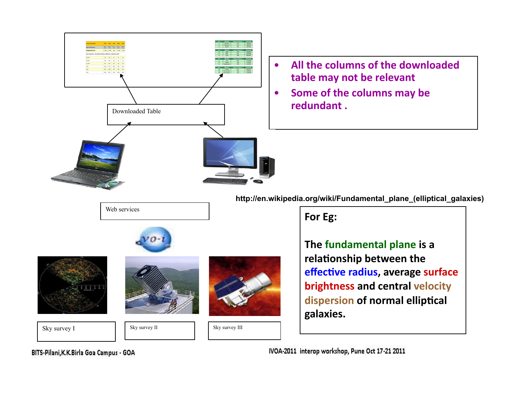

Web services

- All the columns of the downloaded table may not be relevant
- Some of the columns may be redundant .

**http://en.wikipedia.org/wiki/Fundamental\_plane\_(elliptical\_galaxies)** 

For Eg:

**The fundamental plane is a** relationship between the **effective radius, average surface brightness and central velocity** dispersion of normal elliptical **galaxies.##**

BITS-Pilani, K.K. Birla Goa Campus - GOA

Sky survey I Sky survey II Sky survey II Sky survey II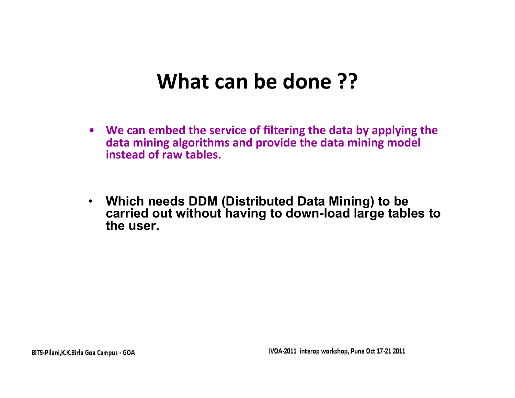## **What can be done ??**

- We can embed the service of filtering the data by applying the data mining algorithms and provide the data mining model **instead of raw tables.**
- **Which needs DDM (Distributed Data Mining) to be carried out without having to down-load large tables to the user.**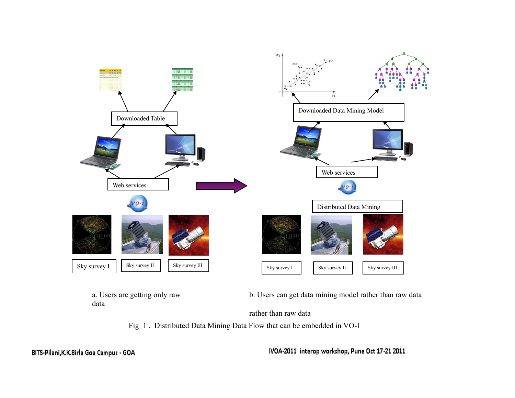

a. Users are getting only raw data

b. Users can get data mining model rather than raw data

rather than raw data



BITS-Pilani, K.K. Birla Goa Campus - GOA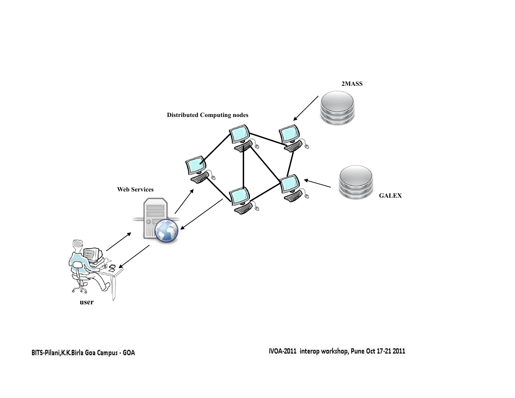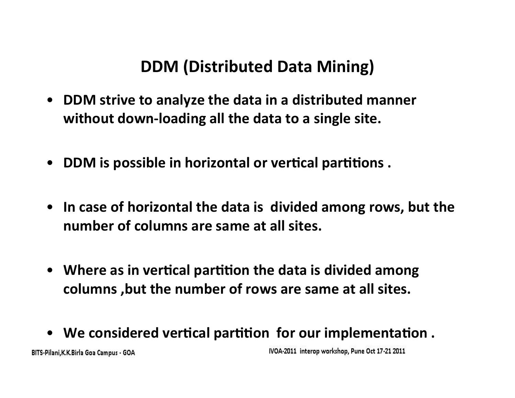### **DDM (Distributed Data Mining)**

- **DDM strive to analyze the data in a distributed manner** without down-loading all the data to a single site.
- **DDM** is possible in horizontal or vertical partitions.
- In case of horizontal the data is divided among rows, but the number of columns are same at all sites.
- Where as in vertical partition the data is divided among columns, but the number of rows are same at all sites.
- We considered vertical partition for our implementation.

BITS-Pilani, K.K. Birla Goa Campus - GOA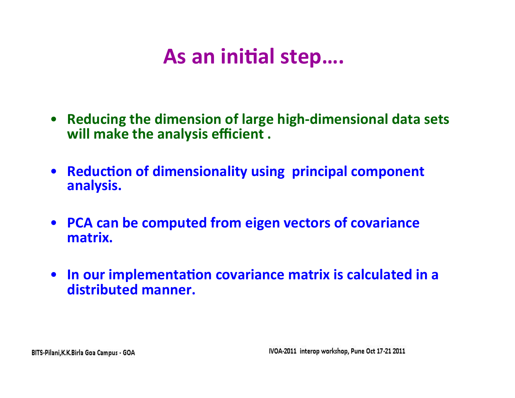# As an initial step....

- Reducing the dimension of large high-dimensional data sets will make the analysis efficient.
- Reduction of dimensionality using principal component analysis.
- PCA can be computed from eigen vectors of covariance matrix.
- In our implementation covariance matrix is calculated in a distributed manner.

BITS-Pilani, K.K. Birla Goa Campus - GOA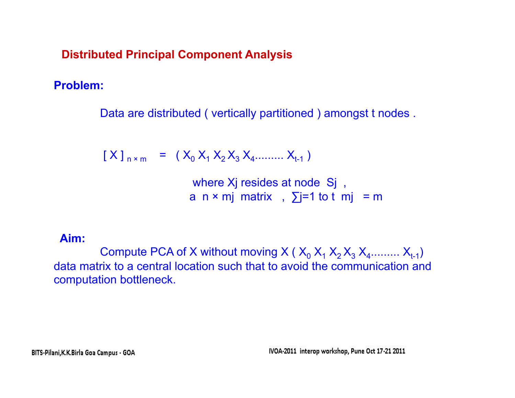**Distributed Principal Component Analysis** 

**Problem:** 

Data are distributed ( vertically partitioned ) amongst t nodes .

 $[X]_{n \times m}$  =  $(X_0 X_1 X_2 X_3 X_4 \dots X_{n+1})$ 

where Xj resides at node Sj, a n × mj matrix,  $\sum$ j=1 to t mj = m

#### **Aim:**

Compute PCA of X without moving X ( $X_0$   $X_1$   $X_2$   $X_3$   $X_4$ .........  $X_{t-1}$ ) data matrix to a central location such that to avoid the communication and computation bottleneck.

BITS-Pilani, K.K. Birla Goa Campus - GOA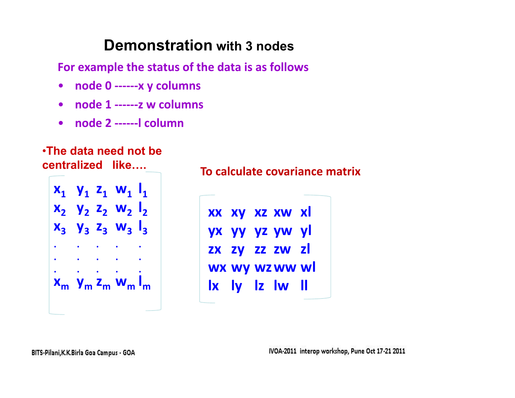### **Demonstration with 3 nodes**

For example the status of the data is as follows

- node 0 ------ x y columns  $\bullet$
- node 1 ------ z w columns
- node 2 ------ l column

#### . The data need not be centralized like....



#### To calculate covariance matrix

XX XY XZ XW XI yx yy yz yw yl ZX ZY ZZ ZW ZI wx wy wz ww wl Ix ly Iz Iw II

BITS-Pilani, K.K. Birla Goa Campus - GOA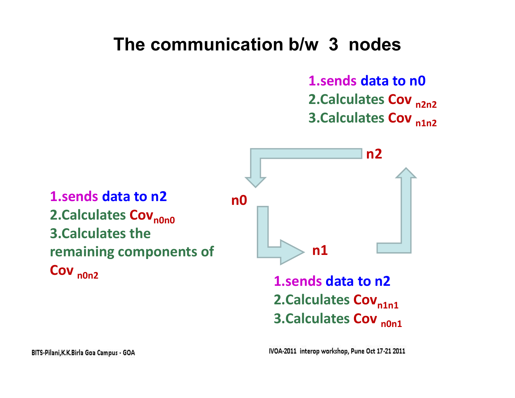## **The communication b/w 3 nodes**

**1.sends data to n0 2.Calculates Cov** <sub>n2n2</sub> **3.Calculates Cov** <sub>n1n2</sub>

**1.sends data to n2 2.Calculates Cov<sub>n0n0</sub> 3.Calculates the remaining components of Cov** <sub>n0n2</sub>

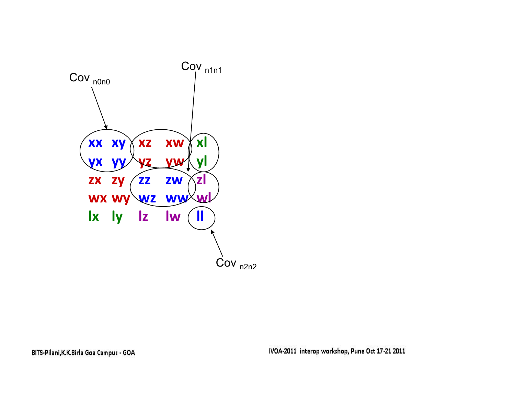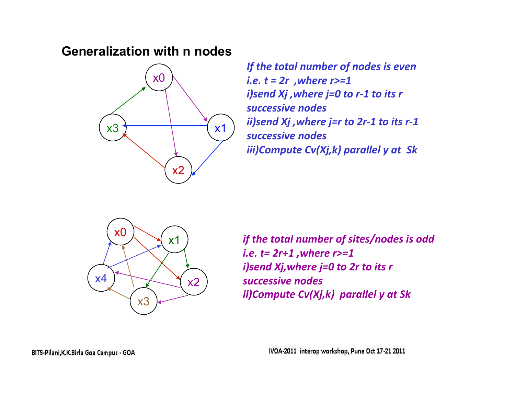#### **Generalization with n nodes**



*If the total number of nodes is even i.e. t = 2r , where r>=1 i)send Xj ,where j=0 to r-1 to its r successive#nodes## ii)send Xj , where j=r to 2r-1 to its r-1 successive#nodes iii)Compute Cv(Xj,k) parallel y at Sk* 



*if the total number of sites/nodes is odd i.e. t= 2r+1 ,where r>=1 i)send Xj,where j=0 to 2r to its r successive#nodes ii)Compute Cv(Xj,k) parallel y at Sk* 

BITS-Pilani, K.K. Birla Goa Campus - GOA